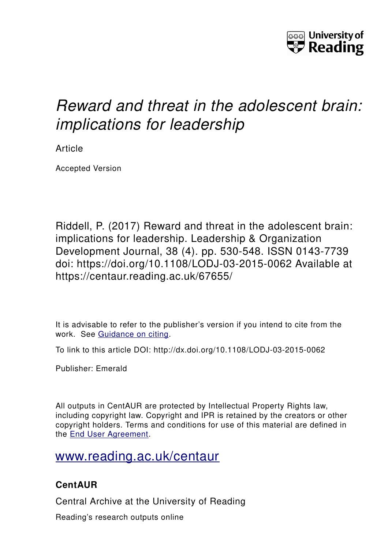

## *Reward and threat in the adolescent brain: implications for leadership*

Article

Accepted Version

Riddell, P. (2017) Reward and threat in the adolescent brain: implications for leadership. Leadership & Organization Development Journal, 38 (4). pp. 530-548. ISSN 0143-7739 doi: https://doi.org/10.1108/LODJ-03-2015-0062 Available at https://centaur.reading.ac.uk/67655/

It is advisable to refer to the publisher's version if you intend to cite from the work. See [Guidance on citing.](http://centaur.reading.ac.uk/71187/10/CentAUR%20citing%20guide.pdf)

To link to this article DOI: http://dx.doi.org/10.1108/LODJ-03-2015-0062

Publisher: Emerald

All outputs in CentAUR are protected by Intellectual Property Rights law, including copyright law. Copyright and IPR is retained by the creators or other copyright holders. Terms and conditions for use of this material are defined in the [End User Agreement.](http://centaur.reading.ac.uk/licence)

### [www.reading.ac.uk/centaur](http://www.reading.ac.uk/centaur)

### **CentAUR**

Central Archive at the University of Reading

Reading's research outputs online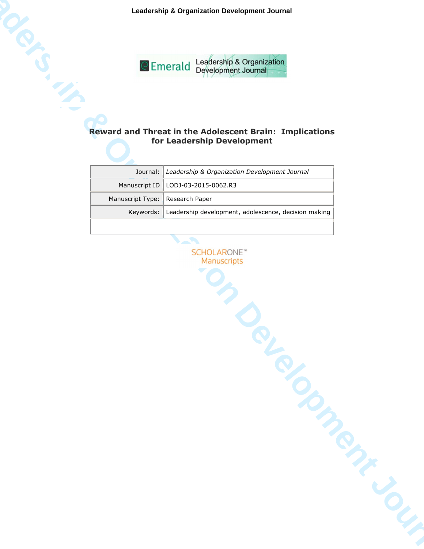**Leadership & Organization Development Journal**



# **for Leadership Development**

| Journal:                      | Leadership & Organization Development Journal                          |
|-------------------------------|------------------------------------------------------------------------|
| Manuscript ID                 | LODJ-03-2015-0062.R3                                                   |
| Manuscript Type:<br>Keywords: | Research Paper<br>Leadership development, adolescence, decision making |
|                               | Manuscripts                                                            |
|                               |                                                                        |
|                               |                                                                        |
|                               |                                                                        |
|                               |                                                                        |
|                               |                                                                        |
|                               |                                                                        |
|                               |                                                                        |
|                               |                                                                        |
|                               |                                                                        |
|                               |                                                                        |
|                               |                                                                        |
|                               |                                                                        |
|                               | eyon Mentury                                                           |

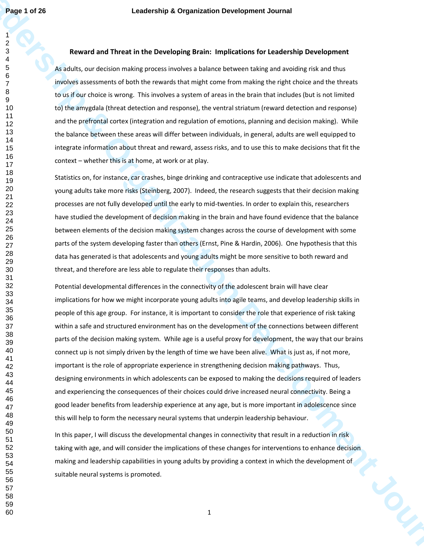#### **Reward and Threat in the Developing Brain: Implications for Leadership Development**

As adults, our decision making process involves a balance between taking and avoiding risk and thus involves assessments of both the rewards that might come from making the right choice and the threats to us if our choice is wrong. This involves a system of areas in the brain that includes (but is not limited to) the amygdala (threat detection and response), the ventral striatum (reward detection and response) and the prefrontal cortex (integration and regulation of emotions, planning and decision making). While the balance between these areas will differ between individuals, in general, adults are well equipped to integrate information about threat and reward, assess risks, and to use this to make decisions that fit the context – whether this is at home, at work or at play.

Statistics on, for instance, car crashes, binge drinking and contraceptive use indicate that adolescents and young adults take more risks (Steinberg, 2007). Indeed, the research suggests that their decision making processes are not fully developed until the early to mid-twenties. In order to explain this, researchers have studied the development of decision making in the brain and have found evidence that the balance between elements of the decision making system changes across the course of development with some parts of the system developing faster than others (Ernst, Pine & Hardin, 2006). One hypothesis that this data has generated is that adolescents and young adults might be more sensitive to both reward and threat, and therefore are less able to regulate their responses than adults.

**Leadership & Organization Development Journal<br>
2<br>
A Revent and There is nitro Development Journal Correspondent Star (and the Correspondent Star (and the Correspondent Star)<br>
2<br>
2<br>
A Revent and the United Star (and the Co** Potential developmental differences in the connectivity of the adolescent brain will have clear implications for how we might incorporate young adults into agile teams, and develop leadership skills in people of this age group. For instance, it is important to consider the role that experience of risk taking within a safe and structured environment has on the development of the connections between different parts of the decision making system. While age is a useful proxy for development, the way that our brains connect up is not simply driven by the length of time we have been alive. What is just as, if not more, important is the role of appropriate experience in strengthening decision making pathways. Thus, designing environments in which adolescents can be exposed to making the decisions required of leaders and experiencing the consequences of their choices could drive increased neural connectivity. Being a good leader benefits from leadership experience at any age, but is more important in adolescence since this will help to form the necessary neural systems that underpin leadership behaviour.

In this paper, I will discuss the developmental changes in connectivity that result in a reduction in risk taking with age, and will consider the implications of these changes for interventions to enhance decision making and leadership capabilities in young adults by providing a context in which the development of suitable neural systems is promoted.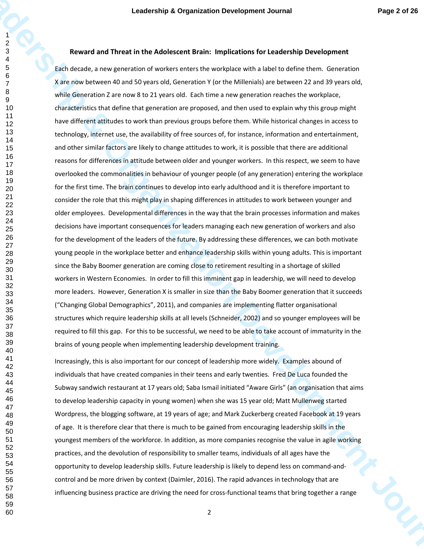#### **Reward and Threat in the Adolescent Brain: Implications for Leadership Development**

**Leadership & Organization Development Journal Frage 2 of 25**<br>
2 **Reward and Therest in the Adolescent Orain, implication for Leadership Development<br>
Lei) descriptions are the anti-state the activistic and about the defend** Each decade, a new generation of workers enters the workplace with a label to define them. Generation X are now between 40 and 50 years old, Generation Y (or the Millenials) are between 22 and 39 years old, while Generation Z are now 8 to 21 years old. Each time a new generation reaches the workplace, characteristics that define that generation are proposed, and then used to explain why this group might have different attitudes to work than previous groups before them. While historical changes in access to technology, internet use, the availability of free sources of, for instance, information and entertainment, and other similar factors are likely to change attitudes to work, it is possible that there are additional reasons for differences in attitude between older and younger workers. In this respect, we seem to have overlooked the commonalities in behaviour of younger people (of any generation) entering the workplace for the first time. The brain continues to develop into early adulthood and it is therefore important to consider the role that this might play in shaping differences in attitudes to work between younger and older employees. Developmental differences in the way that the brain processes information and makes decisions have important consequences for leaders managing each new generation of workers and also for the development of the leaders of the future. By addressing these differences, we can both motivate young people in the workplace better and enhance leadership skills within young adults. This is important since the Baby Boomer generation are coming close to retirement resulting in a shortage of skilled workers in Western Economies. In order to fill this imminent gap in leadership, we will need to develop more leaders. However, Generation X is smaller in size than the Baby Boomer generation that it succeeds ("Changing Global Demographics", 2011), and companies are implementing flatter organisational structures which require leadership skills at all levels (Schneider, 2002) and so younger employees will be required to fill this gap. For this to be successful, we need to be able to take account of immaturity in the brains of young people when implementing leadership development training.

Increasingly, this is also important for our concept of leadership more widely. Examples abound of individuals that have created companies in their teens and early twenties. Fred De Luca founded the Subway sandwich restaurant at 17 years old; Saba Ismail initiated "Aware Girls" (an organisation that aims to develop leadership capacity in young women) when she was 15 year old; Matt Mullenweg started Wordpress, the blogging software, at 19 years of age; and Mark Zuckerberg created Facebook at 19 years of age. It is therefore clear that there is much to be gained from encouraging leadership skills in the youngest members of the workforce. In addition, as more companies recognise the value in agile working practices, and the devolution of responsibility to smaller teams, individuals of all ages have the opportunity to develop leadership skills. Future leadership is likely to depend less on command-andcontrol and be more driven by context (Daimler, 2016). The rapid advances in technology that are influencing business practice are driving the need for cross-functional teams that bring together a range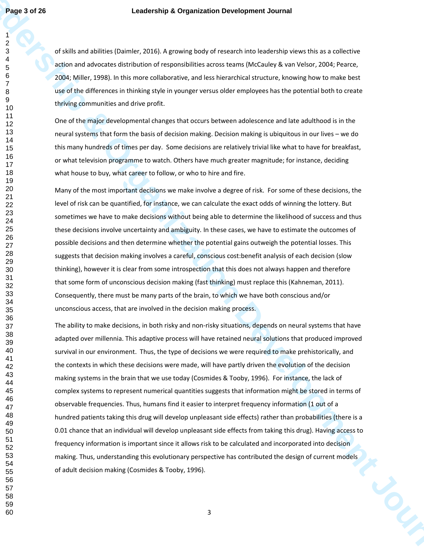of skills and abilities (Daimler, 2016). A growing body of research into leadership views this as a collective action and advocates distribution of responsibilities across teams (McCauley & van Velsor, 2004; Pearce, 2004; Miller, 1998). In this more collaborative, and less hierarchical structure, knowing how to make best use of the differences in thinking style in younger versus older employees has the potential both to create thriving communities and drive profit.

One of the major developmental changes that occurs between adolescence and late adulthood is in the neural systems that form the basis of decision making. Decision making is ubiquitous in our lives – we do this many hundreds of times per day. Some decisions are relatively trivial like what to have for breakfast, or what television programme to watch. Others have much greater magnitude; for instance, deciding what house to buy, what career to follow, or who to hire and fire.

Many of the most important decisions we make involve a degree of risk. For some of these decisions, the level of risk can be quantified, for instance, we can calculate the exact odds of winning the lottery. But sometimes we have to make decisions without being able to determine the likelihood of success and thus these decisions involve uncertainty and ambiguity. In these cases, we have to estimate the outcomes of possible decisions and then determine whether the potential gains outweigh the potential losses. This suggests that decision making involves a careful, conscious cost:benefit analysis of each decision (slow thinking), however it is clear from some introspection that this does not always happen and therefore that some form of unconscious decision making (fast thinking) must replace this (Kahneman, 2011). Consequently, there must be many parts of the brain, to which we have both conscious and/or unconscious access, that are involved in the decision making process.

**Page 16 48<br>
Associates the Control and Conservation Development Journal is a selective conservation of the Conservation Conservation Conservation Conservation Conservation Conservation Conservation Conservation Conservati** The ability to make decisions, in both risky and non-risky situations, depends on neural systems that have adapted over millennia. This adaptive process will have retained neural solutions that produced improved survival in our environment. Thus, the type of decisions we were required to make prehistorically, and the contexts in which these decisions were made, will have partly driven the evolution of the decision making systems in the brain that we use today (Cosmides & Tooby, 1996). For instance, the lack of complex systems to represent numerical quantities suggests that information might be stored in terms of observable frequencies. Thus, humans find it easier to interpret frequency information (1 out of a hundred patients taking this drug will develop unpleasant side effects) rather than probabilities (there is a 0.01 chance that an individual will develop unpleasant side effects from taking this drug). Having access to frequency information is important since it allows risk to be calculated and incorporated into decision making. Thus, understanding this evolutionary perspective has contributed the design of current models of adult decision making (Cosmides & Tooby, 1996).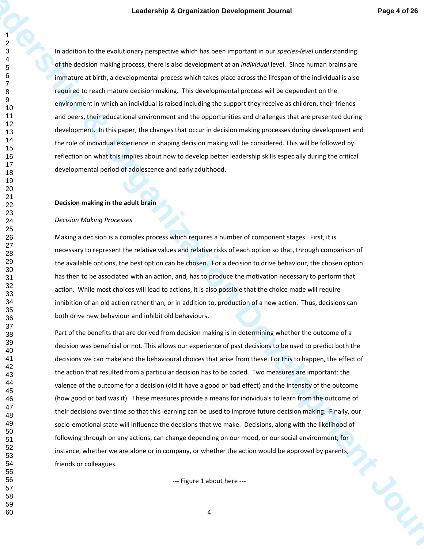In addition to the evolutionary perspective which has been important in our *species-level* understanding of the decision making process, there is also development at an *individual* level. Since human brains are immature at birth, a developmental process which takes place across the lifespan of the individual is also required to reach mature decision making. This developmental process will be dependent on the environment in which an individual is raised including the support they receive as children, their friends and peers, their educational environment and the opportunities and challenges that are presented during development. In this paper, the changes that occur in decision making processes during development and the role of individual experience in shaping decision making will be considered. This will be followed by reflection on what this implies about how to develop better leadership skills especially during the critical developmental period of adolescence and early adulthood.

#### **Decision making in the adult brain**

#### *Decision Making Processes*

Making a decision is a complex process which requires a number of component stages. First, it is necessary to represent the relative values and relative risks of each option so that, through comparison of the available options, the best option can be chosen. For a decision to drive behaviour, the chosen option has then to be associated with an action, and, has to produce the motivation necessary to perform that action. While most choices will lead to actions, it is also possible that the choice made will require inhibition of an old action rather than, or in addition to, production of a new action. Thus, decisions can both drive new behaviour and inhibit old behaviours.

**Leadership & Organization Development Journal Franchises (1988)**<br> **Leadership & Organization** Development Journal Theodore Internaction of the state of the state of the state of the state of the state of the state of the Part of the benefits that are derived from decision making is in determining whether the outcome of a decision was beneficial or not. This allows our experience of past decisions to be used to predict both the decisions we can make and the behavioural choices that arise from these. For this to happen, the effect of the action that resulted from a particular decision has to be coded. Two measures are important: the valence of the outcome for a decision (did it have a good or bad effect) and the intensity of the outcome (how good or bad was it). These measures provide a means for individuals to learn from the outcome of their decisions over time so that this learning can be used to improve future decision making. Finally, our socio-emotional state will influence the decisions that we make. Decisions, along with the likelihood of following through on any actions, can change depending on our mood, or our social environment; for instance, whether we are alone or in company, or whether the action would be approved by parents, friends or colleagues.

--- Figure 1 about here ---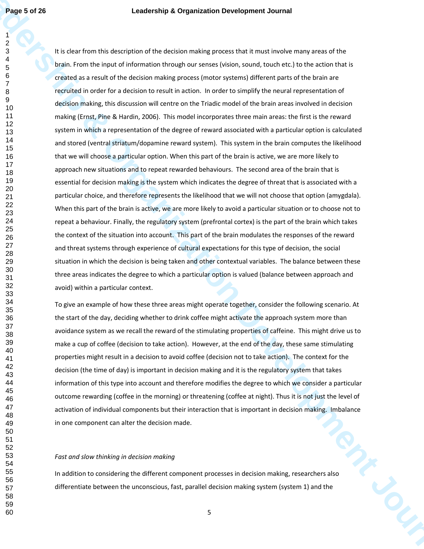**Leadership & Organization Development Journal** It is clear from this description of the decision making process that it must involve many areas of the brain. From the input of information through our senses (vision, sound, touch etc.) to the action that is created as a result of the decision making process (motor systems) different parts of the brain are recruited in order for a decision to result in action. In order to simplify the neural representation of decision making, this discussion will centre on the Triadic model of the brain areas involved in decision making (Ernst, Pine & Hardin, 2006). This model incorporates three main areas: the first is the reward system in which a representation of the degree of reward associated with a particular option is calculated and stored (ventral striatum/dopamine reward system). This system in the brain computes the likelihood that we will choose a particular option. When this part of the brain is active, we are more likely to approach new situations and to repeat rewarded behaviours. The second area of the brain that is essential for decision making is the system which indicates the degree of threat that is associated with a particular choice, and therefore represents the likelihood that we will not choose that option (amygdala). When this part of the brain is active, we are more likely to avoid a particular situation or to choose not to repeat a behaviour. Finally, the regulatory system (prefrontal cortex) is the part of the brain which takes the context of the situation into account. This part of the brain modulates the responses of the reward and threat systems through experience of cultural expectations for this type of decision, the social situation in which the decision is being taken and other contextual variables. The balance between these three areas indicates the degree to which a particular option is valued (balance between approach and avoid) within a particular context.

To give an example of how these three areas might operate together, consider the following scenario. At the start of the day, deciding whether to drink coffee might activate the approach system more than avoidance system as we recall the reward of the stimulating properties of caffeine. This might drive us to make a cup of coffee (decision to take action). However, at the end of the day, these same stimulating properties might result in a decision to avoid coffee (decision not to take action). The context for the decision (the time of day) is important in decision making and it is the regulatory system that takes information of this type into account and therefore modifies the degree to which we consider a particular outcome rewarding (coffee in the morning) or threatening (coffee at night). Thus it is not just the level of activation of individual components but their interaction that is important in decision making. Imbalance in one component can alter the decision made.

#### *Fast and slow thinking in decision making*

In addition to considering the different component processes in decision making, researchers also differentiate between the unconscious, fast, parallel decision making system (system 1) and the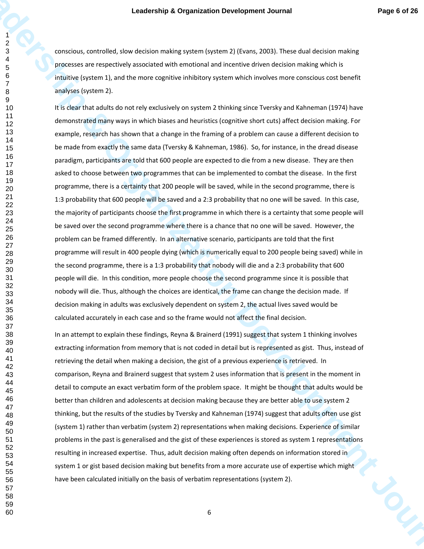conscious, controlled, slow decision making system (system 2) (Evans, 2003). These dual decision making processes are respectively associated with emotional and incentive driven decision making which is intuitive (system 1), and the more cognitive inhibitory system which involves more conscious cost benefit analyses (system 2).

**Leadership & Organization Development Journal Properties and 2**<br>
2.4 Central and the control of the state of the state of the state of the state of the state of the state of the state of the state of the state of the stat It is clear that adults do not rely exclusively on system 2 thinking since Tversky and Kahneman (1974) have demonstrated many ways in which biases and heuristics (cognitive short cuts) affect decision making. For example, research has shown that a change in the framing of a problem can cause a different decision to be made from exactly the same data (Tversky & Kahneman, 1986). So, for instance, in the dread disease paradigm, participants are told that 600 people are expected to die from a new disease. They are then asked to choose between two programmes that can be implemented to combat the disease. In the first programme, there is a certainty that 200 people will be saved, while in the second programme, there is 1:3 probability that 600 people will be saved and a 2:3 probability that no one will be saved. In this case, the majority of participants choose the first programme in which there is a certainty that some people will be saved over the second programme where there is a chance that no one will be saved. However, the problem can be framed differently. In an alternative scenario, participants are told that the first programme will result in 400 people dying (which is numerically equal to 200 people being saved) while in the second programme, there is a 1:3 probability that nobody will die and a 2:3 probability that 600 people will die. In this condition, more people choose the second programme since it is possible that nobody will die. Thus, although the choices are identical, the frame can change the decision made. If decision making in adults was exclusively dependent on system 2, the actual lives saved would be calculated accurately in each case and so the frame would not affect the final decision.

In an attempt to explain these findings, Reyna & Brainerd (1991) suggest that system 1 thinking involves extracting information from memory that is not coded in detail but is represented as gist. Thus, instead of retrieving the detail when making a decision, the gist of a previous experience is retrieved. In comparison, Reyna and Brainerd suggest that system 2 uses information that is present in the moment in detail to compute an exact verbatim form of the problem space. It might be thought that adults would be better than children and adolescents at decision making because they are better able to use system 2 thinking, but the results of the studies by Tversky and Kahneman (1974) suggest that adults often use gist (system 1) rather than verbatim (system 2) representations when making decisions. Experience of similar problems in the past is generalised and the gist of these experiences is stored as system 1 representations resulting in increased expertise. Thus, adult decision making often depends on information stored in system 1 or gist based decision making but benefits from a more accurate use of expertise which might have been calculated initially on the basis of verbatim representations (system 2).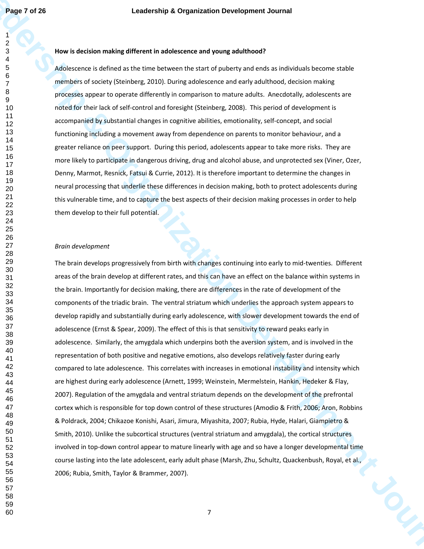#### **How is decision making different in adolescence and young adulthood?**

Adolescence is defined as the time between the start of puberty and ends as individuals become stable members of society (Steinberg, 2010). During adolescence and early adulthood, decision making processes appear to operate differently in comparison to mature adults. Anecdotally, adolescents are noted for their lack of self-control and foresight (Steinberg, 2008). This period of development is accompanied by substantial changes in cognitive abilities, emotionality, self-concept, and social functioning including a movement away from dependence on parents to monitor behaviour, and a greater reliance on peer support. During this period, adolescents appear to take more risks. They are more likely to participate in dangerous driving, drug and alcohol abuse, and unprotected sex (Viner, Ozer, Denny, Marmot, Resnick, Fatsui & Currie, 2012). It is therefore important to determine the changes in neural processing that underlie these differences in decision making, both to protect adolescents during this vulnerable time, and to capture the best aspects of their decision making processes in order to help them develop to their full potential.

#### *Brain development*

**Leadership & Organization Development Journal<br>
2<br>
<b>Leadership & Department Insteaders and young exhibitions?**<br> **Leadership & Additions of the control of the control of the control of the control of the system of the syste** The brain develops progressively from birth with changes continuing into early to mid-twenties. Different areas of the brain develop at different rates, and this can have an effect on the balance within systems in the brain. Importantly for decision making, there are differences in the rate of development of the components of the triadic brain. The ventral striatum which underlies the approach system appears to develop rapidly and substantially during early adolescence, with slower development towards the end of adolescence (Ernst & Spear, 2009). The effect of this is that sensitivity to reward peaks early in adolescence. Similarly, the amygdala which underpins both the aversion system, and is involved in the representation of both positive and negative emotions, also develops relatively faster during early compared to late adolescence. This correlates with increases in emotional instability and intensity which are highest during early adolescence (Arnett, 1999; Weinstein, Mermelstein, Hankin, Hedeker & Flay, 2007). Regulation of the amygdala and ventral striatum depends on the development of the prefrontal cortex which is responsible for top down control of these structures (Amodio & Frith, 2006; Aron, Robbins & Poldrack, 2004; Chikazoe Konishi, Asari, Jimura, Miyashita, 2007; Rubia, Hyde, Halari, Giampietro & Smith, 2010). Unlike the subcortical structures (ventral striatum and amygdala), the cortical structures involved in top-down control appear to mature linearly with age and so have a longer developmental time course lasting into the late adolescent, early adult phase (Marsh, Zhu, Schultz, Quackenbush, Royal, et al., 2006; Rubia, Smith, Taylor & Brammer, 2007).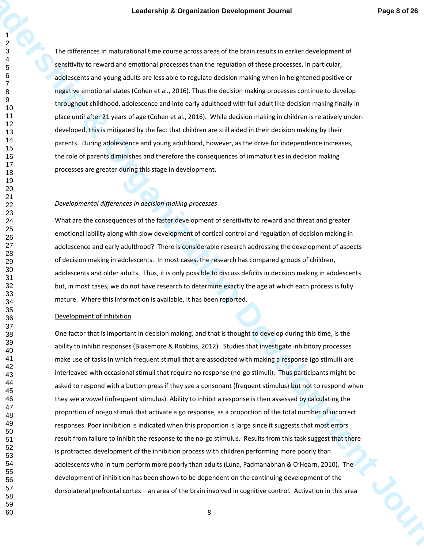The differences in maturational time course across areas of the brain results in earlier development of sensitivity to reward and emotional processes than the regulation of these processes. In particular, adolescents and young adults are less able to regulate decision making when in heightened positive or negative emotional states (Cohen et al., 2016). Thus the decision making processes continue to develop throughout childhood, adolescence and into early adulthood with full adult like decision making finally in place until after 21 years of age (Cohen et al., 2016). While decision making in children is relatively underdeveloped, this is mitigated by the fact that children are still aided in their decision making by their parents. During adolescence and young adulthood, however, as the drive for independence increases, the role of parents diminishes and therefore the consequences of immaturities in decision making processes are greater during this stage in development.

#### *Developmental differences in decision making processes*

What are the consequences of the faster development of sensitivity to reward and threat and greater emotional lability along with slow development of cortical control and regulation of decision making in adolescence and early adulthood? There is considerable research addressing the development of aspects of decision making in adolescents. In most cases, the research has compared groups of children, adolescents and older adults. Thus, it is only possible to discuss deficits in decision making in adolescents but, in most cases, we do not have research to determine exactly the age at which each process is fully mature. Where this information is available, it has been reported.

#### Development of Inhibition

**Leadership & Organization Development Journal is a comparison of the content of the content of the comparison of the comparison of the comparison of the comparison of the comparison of the comparison of the comparison of** One factor that is important in decision making, and that is thought to develop during this time, is the ability to inhibit responses (Blakemore & Robbins, 2012). Studies that investigate inhibitory processes make use of tasks in which frequent stimuli that are associated with making a response (go stimuli) are interleaved with occasional stimuli that require no response (no-go stimuli). Thus participants might be asked to respond with a button press if they see a consonant (frequent stimulus) but not to respond when they see a vowel (infrequent stimulus). Ability to inhibit a response is then assessed by calculating the proportion of no-go stimuli that activate a go response, as a proportion of the total number of incorrect responses. Poor inhibition is indicated when this proportion is large since it suggests that most errors result from failure to inhibit the response to the no-go stimulus. Results from this task suggest that there is protracted development of the inhibition process with children performing more poorly than adolescents who in turn perform more poorly than adults (Luna, Padmanabhan & O'Hearn, 2010). The development of inhibition has been shown to be dependent on the continuing development of the dorsolateral prefrontal cortex – an area of the brain involved in cognitive control. Activation in this area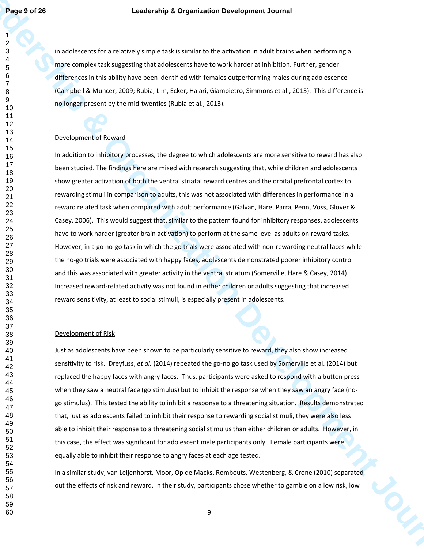#### **Page 9 of 26 Leadership & Organization Development Journal**

in adolescents for a relatively simple task is similar to the activation in adult brains when performing a more complex task suggesting that adolescents have to work harder at inhibition. Further, gender differences in this ability have been identified with females outperforming males during adolescence (Campbell & Muncer, 2009; Rubia, Lim, Ecker, Halari, Giampietro, Simmons et al., 2013). This difference is no longer present by the mid-twenties (Rubia et al., 2013).

#### Development of Reward

**Leadership & Organization Development Journal Eures**<br> **Leadership & Organization** Development Journal Constitution In the United State of the Constitution 2<br> **Leadership and the Constitution 2**<br> **Leadership and the Consti** In addition to inhibitory processes, the degree to which adolescents are more sensitive to reward has also been studied. The findings here are mixed with research suggesting that, while children and adolescents show greater activation of both the ventral striatal reward centres and the orbital prefrontal cortex to rewarding stimuli in comparison to adults, this was not associated with differences in performance in a reward related task when compared with adult performance (Galvan, Hare, Parra, Penn, Voss, Glover & Casey, 2006). This would suggest that, similar to the pattern found for inhibitory responses, adolescents have to work harder (greater brain activation) to perform at the same level as adults on reward tasks. However, in a go no-go task in which the go trials were associated with non-rewarding neutral faces while the no-go trials were associated with happy faces, adolescents demonstrated poorer inhibitory control and this was associated with greater activity in the ventral striatum (Somerville, Hare & Casey, 2014). Increased reward-related activity was not found in either children or adults suggesting that increased reward sensitivity, at least to social stimuli, is especially present in adolescents.

#### Development of Risk

Just as adolescents have been shown to be particularly sensitive to reward, they also show increased sensitivity to risk. Dreyfuss, *et al.* (2014) repeated the go-no go task used by Somerville et al. (2014) but replaced the happy faces with angry faces. Thus, participants were asked to respond with a button press when they saw a neutral face (go stimulus) but to inhibit the response when they saw an angry face (nogo stimulus). This tested the ability to inhibit a response to a threatening situation. Results demonstrated that, just as adolescents failed to inhibit their response to rewarding social stimuli, they were also less able to inhibit their response to a threatening social stimulus than either children or adults. However, in this case, the effect was significant for adolescent male participants only. Female participants were equally able to inhibit their response to angry faces at each age tested.

In a similar study, van Leijenhorst, Moor, Op de Macks, Rombouts, Westenberg, & Crone (2010) separated out the effects of risk and reward. In their study, participants chose whether to gamble on a low risk, low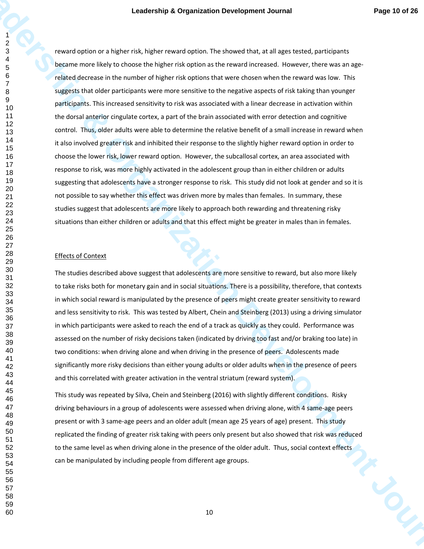**Leadership & Organization** Development Journal **Progression**<br> **Leadership & Organization** Development Journal Multiple interesting the control of the control of the control of the control of the control of the control of reward option or a higher risk, higher reward option. The showed that, at all ages tested, participants became more likely to choose the higher risk option as the reward increased. However, there was an agerelated decrease in the number of higher risk options that were chosen when the reward was low. This suggests that older participants were more sensitive to the negative aspects of risk taking than younger participants. This increased sensitivity to risk was associated with a linear decrease in activation within the dorsal anterior cingulate cortex, a part of the brain associated with error detection and cognitive control. Thus, older adults were able to determine the relative benefit of a small increase in reward when it also involved greater risk and inhibited their response to the slightly higher reward option in order to choose the lower risk, lower reward option. However, the subcallosal cortex, an area associated with response to risk, was more highly activated in the adolescent group than in either children or adults suggesting that adolescents have a stronger response to risk. This study did not look at gender and so it is not possible to say whether this effect was driven more by males than females. In summary, these studies suggest that adolescents are more likely to approach both rewarding and threatening risky situations than either children or adults and that this effect might be greater in males than in females.

#### Effects of Context

The studies described above suggest that adolescents are more sensitive to reward, but also more likely to take risks both for monetary gain and in social situations. There is a possibility, therefore, that contexts in which social reward is manipulated by the presence of peers might create greater sensitivity to reward and less sensitivity to risk. This was tested by Albert, Chein and Steinberg (2013) using a driving simulator in which participants were asked to reach the end of a track as quickly as they could. Performance was assessed on the number of risky decisions taken (indicated by driving too fast and/or braking too late) in two conditions: when driving alone and when driving in the presence of peers. Adolescents made significantly more risky decisions than either young adults or older adults when in the presence of peers and this correlated with greater activation in the ventral striatum (reward system).

This study was repeated by Silva, Chein and Steinberg (2016) with slightly different conditions. Risky driving behaviours in a group of adolescents were assessed when driving alone, with 4 same-age peers present or with 3 same-age peers and an older adult (mean age 25 years of age) present. This study replicated the finding of greater risk taking with peers only present but also showed that risk was reduced to the same level as when driving alone in the presence of the older adult. Thus, social context effects can be manipulated by including people from different age groups.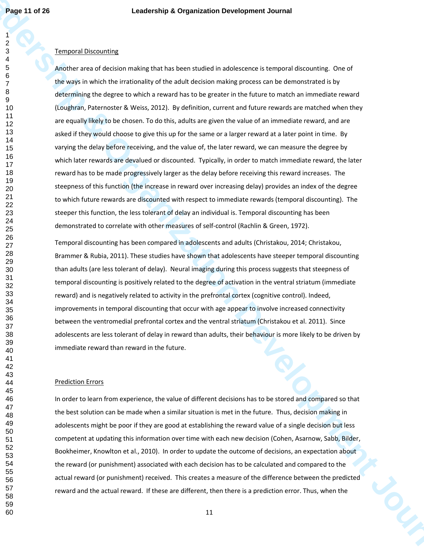#### Temporal Discounting

**Leadership & Organization Development Journal<br>
2<br>
2<br>
<b>Leadership & Control of the state of the state of the state of the state of the state of the state of the state of the state of the state of the state of the state of** Another area of decision making that has been studied in adolescence is temporal discounting. One of the ways in which the irrationality of the adult decision making process can be demonstrated is by determining the degree to which a reward has to be greater in the future to match an immediate reward (Loughran, Paternoster & Weiss, 2012). By definition, current and future rewards are matched when they are equally likely to be chosen. To do this, adults are given the value of an immediate reward, and are asked if they would choose to give this up for the same or a larger reward at a later point in time. By varying the delay before receiving, and the value of, the later reward, we can measure the degree by which later rewards are devalued or discounted. Typically, in order to match immediate reward, the later reward has to be made progressively larger as the delay before receiving this reward increases. The steepness of this function (the increase in reward over increasing delay) provides an index of the degree to which future rewards are discounted with respect to immediate rewards (temporal discounting). The steeper this function, the less tolerant of delay an individual is. Temporal discounting has been demonstrated to correlate with other measures of self-control (Rachlin & Green, 1972).

Temporal discounting has been compared in adolescents and adults (Christakou, 2014; Christakou, Brammer & Rubia, 2011). These studies have shown that adolescents have steeper temporal discounting than adults (are less tolerant of delay). Neural imaging during this process suggests that steepness of temporal discounting is positively related to the degree of activation in the ventral striatum (immediate reward) and is negatively related to activity in the prefrontal cortex (cognitive control). Indeed, improvements in temporal discounting that occur with age appear to involve increased connectivity between the ventromedial prefrontal cortex and the ventral striatum (Christakou et al. 2011). Since adolescents are less tolerant of delay in reward than adults, their behaviour is more likely to be driven by immediate reward than reward in the future.

#### Prediction Errors

In order to learn from experience, the value of different decisions has to be stored and compared so that the best solution can be made when a similar situation is met in the future. Thus, decision making in adolescents might be poor if they are good at establishing the reward value of a single decision but less competent at updating this information over time with each new decision (Cohen, Asarnow, Sabb, Bilder, Bookheimer, Knowlton et al., 2010). In order to update the outcome of decisions, an expectation about the reward (or punishment) associated with each decision has to be calculated and compared to the actual reward (or punishment) received. This creates a measure of the difference between the predicted reward and the actual reward. If these are different, then there is a prediction error. Thus, when the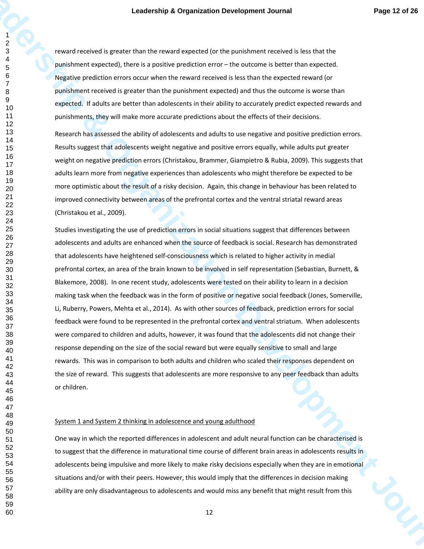reward received is greater than the reward expected (or the punishment received is less that the punishment expected), there is a positive prediction error – the outcome is better than expected. Negative prediction errors occur when the reward received is less than the expected reward (or punishment received is greater than the punishment expected) and thus the outcome is worse than expected. If adults are better than adolescents in their ability to accurately predict expected rewards and punishments, they will make more accurate predictions about the effects of their decisions.

Research has assessed the ability of adolescents and adults to use negative and positive prediction errors. Results suggest that adolescents weight negative and positive errors equally, while adults put greater weight on negative prediction errors (Christakou, Brammer, Giampietro & Rubia, 2009). This suggests that adults learn more from negative experiences than adolescents who might therefore be expected to be more optimistic about the result of a risky decision. Again, this change in behaviour has been related to improved connectivity between areas of the prefrontal cortex and the ventral striatal reward areas (Christakou et al., 2009).

**Leadership & Organization Development Journal Progress of State<br>
2.4 Symmetric concept the contract of the properties of the properties of the matter of the contract of the properties of the contract of the contract of th** Studies investigating the use of prediction errors in social situations suggest that differences between adolescents and adults are enhanced when the source of feedback is social. Research has demonstrated that adolescents have heightened self-consciousness which is related to higher activity in medial prefrontal cortex, an area of the brain known to be involved in self representation (Sebastian, Burnett, & Blakemore, 2008). In one recent study, adolescents were tested on their ability to learn in a decision making task when the feedback was in the form of positive or negative social feedback (Jones, Somerville, Li, Ruberry, Powers, Mehta et al., 2014). As with other sources of feedback, prediction errors for social feedback were found to be represented in the prefrontal cortex and ventral striatum. When adolescents were compared to children and adults, however, it was found that the adolescents did not change their response depending on the size of the social reward but were equally sensitive to small and large rewards. This was in comparison to both adults and children who scaled their responses dependent on the size of reward. This suggests that adolescents are more responsive to any peer feedback than adults or children.

#### System 1 and System 2 thinking in adolescence and young adulthood

One way in which the reported differences in adolescent and adult neural function can be characterised is to suggest that the difference in maturational time course of different brain areas in adolescents results in adolescents being impulsive and more likely to make risky decisions especially when they are in emotional situations and/or with their peers. However, this would imply that the differences in decision making ability are only disadvantageous to adolescents and would miss any benefit that might result from this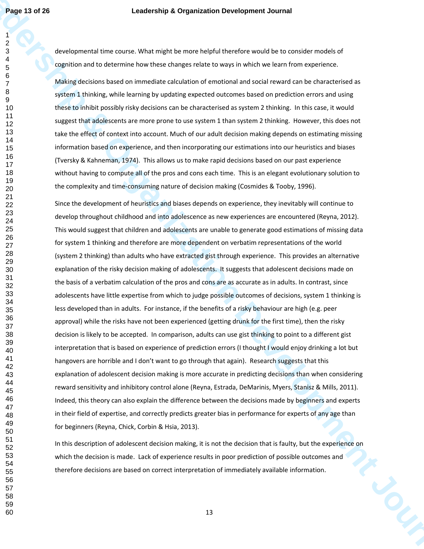developmental time course. What might be more helpful therefore would be to consider models of cognition and to determine how these changes relate to ways in which we learn from experience.

Making decisions based on immediate calculation of emotional and social reward can be characterised as system 1 thinking, while learning by updating expected outcomes based on prediction errors and using these to inhibit possibly risky decisions can be characterised as system 2 thinking. In this case, it would suggest that adolescents are more prone to use system 1 than system 2 thinking. However, this does not take the effect of context into account. Much of our adult decision making depends on estimating missing information based on experience, and then incorporating our estimations into our heuristics and biases (Tversky & Kahneman, 1974). This allows us to make rapid decisions based on our past experience without having to compute all of the pros and cons each time. This is an elegant evolutionary solution to the complexity and time-consuming nature of decision making (Cosmides & Tooby, 1996).

**Leadership & Organization Development Journal<br>
2<br>
development is the case of the case of the case of the case of the case of the case of the case of the case of the case of the case of the case of the case of the case of** Since the development of heuristics and biases depends on experience, they inevitably will continue to develop throughout childhood and into adolescence as new experiences are encountered (Reyna, 2012). This would suggest that children and adolescents are unable to generate good estimations of missing data for system 1 thinking and therefore are more dependent on verbatim representations of the world (system 2 thinking) than adults who have extracted gist through experience. This provides an alternative explanation of the risky decision making of adolescents. It suggests that adolescent decisions made on the basis of a verbatim calculation of the pros and cons are as accurate as in adults. In contrast, since adolescents have little expertise from which to judge possible outcomes of decisions, system 1 thinking is less developed than in adults. For instance, if the benefits of a risky behaviour are high (e.g. peer approval) while the risks have not been experienced (getting drunk for the first time), then the risky decision is likely to be accepted. In comparison, adults can use gist thinking to point to a different gist interpretation that is based on experience of prediction errors (I thought I would enjoy drinking a lot but hangovers are horrible and I don't want to go through that again). Research suggests that this explanation of adolescent decision making is more accurate in predicting decisions than when considering reward sensitivity and inhibitory control alone (Reyna, Estrada, DeMarinis, Myers, Stanisz & Mills, 2011). Indeed, this theory can also explain the difference between the decisions made by beginners and experts in their field of expertise, and correctly predicts greater bias in performance for experts of any age than for beginners (Reyna, Chick, Corbin & Hsia, 2013).

In this description of adolescent decision making, it is not the decision that is faulty, but the experience on which the decision is made. Lack of experience results in poor prediction of possible outcomes and therefore decisions are based on correct interpretation of immediately available information.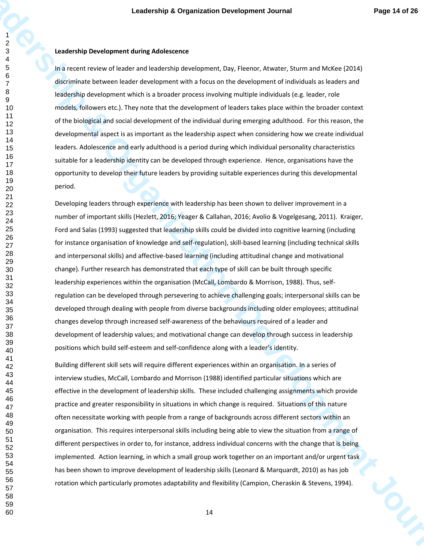#### **Leadership Development during Adolescence**

In a recent review of leader and leadership development, Day, Fleenor, Atwater, Sturm and McKee (2014) discriminate between leader development with a focus on the development of individuals as leaders and leadership development which is a broader process involving multiple individuals (e.g. leader, role models, followers etc.). They note that the development of leaders takes place within the broader context of the biological and social development of the individual during emerging adulthood. For this reason, the developmental aspect is as important as the leadership aspect when considering how we create individual leaders. Adolescence and early adulthood is a period during which individual personality characteristics suitable for a leadership identity can be developed through experience. Hence, organisations have the opportunity to develop their future leaders by providing suitable experiences during this developmental period.

**Leadership & Organization Development Journal Progression**<br>
2. **Leadership Overlagnment dental Addeterses**<br>
For actual technique and describes once compared to the technique and the comparison of the comparison of the com Developing leaders through experience with leadership has been shown to deliver improvement in a number of important skills (Hezlett, 2016; Yeager & Callahan, 2016; Avolio & Vogelgesang, 2011). Kraiger, Ford and Salas (1993) suggested that leadership skills could be divided into cognitive learning (including for instance organisation of knowledge and self-regulation), skill-based learning (including technical skills and interpersonal skills) and affective-based learning (including attitudinal change and motivational change). Further research has demonstrated that each type of skill can be built through specific leadership experiences within the organisation (McCall, Lombardo & Morrison, 1988). Thus, selfregulation can be developed through persevering to achieve challenging goals; interpersonal skills can be developed through dealing with people from diverse backgrounds including older employees; attitudinal changes develop through increased self-awareness of the behaviours required of a leader and development of leadership values; and motivational change can develop through success in leadership positions which build self-esteem and self-confidence along with a leader's identity.

Building different skill sets will require different experiences within an organisation. In a series of interview studies, McCall, Lombardo and Morrison (1988) identified particular situations which are effective in the development of leadership skills. These included challenging assignments which provide practice and greater responsibility in situations in which change is required. Situations of this nature often necessitate working with people from a range of backgrounds across different sectors within an organisation. This requires interpersonal skills including being able to view the situation from a range of different perspectives in order to, for instance, address individual concerns with the change that is being implemented. Action learning, in which a small group work together on an important and/or urgent task has been shown to improve development of leadership skills (Leonard & Marquardt, 2010) as has job rotation which particularly promotes adaptability and flexibility (Campion, Cheraskin & Stevens, 1994).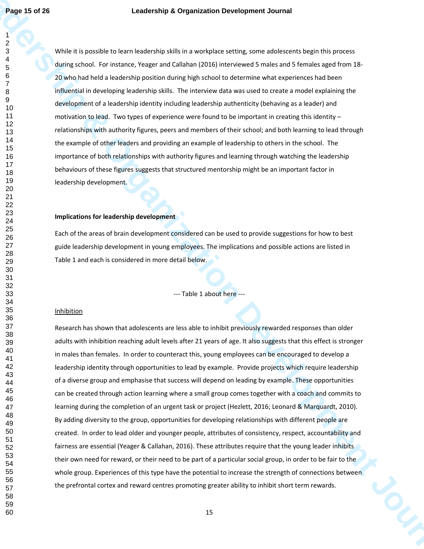While it is possible to learn leadership skills in a workplace setting, some adolescents begin this process during school. For instance, Yeager and Callahan (2016) interviewed 5 males and 5 females aged from 18- 20 who had held a leadership position during high school to determine what experiences had been influential in developing leadership skills. The interview data was used to create a model explaining the development of a leadership identity including leadership authenticity (behaving as a leader) and motivation to lead. Two types of experience were found to be important in creating this identity – relationships with authority figures, peers and members of their school; and both learning to lead through the example of other leaders and providing an example of leadership to others in the school. The importance of both relationships with authority figures and learning through watching the leadership behaviours of these figures suggests that structured mentorship might be an important factor in leadership development.

#### **Implications for leadership development**

Each of the areas of brain development considered can be used to provide suggestions for how to best guide leadership development in young employees. The implications and possible actions are listed in Table 1 and each is considered in more detail below.

--- Table 1 about here ---

#### Inhibition

**Leadership & Organization Development Journal Engine<br>
2.4 Symptoms of the control of the control of the control of the control of the control of the control of the control of the control of the control of the control of t** Research has shown that adolescents are less able to inhibit previously rewarded responses than older adults with inhibition reaching adult levels after 21 years of age. It also suggests that this effect is stronger in males than females. In order to counteract this, young employees can be encouraged to develop a leadership identity through opportunities to lead by example. Provide projects which require leadership of a diverse group and emphasise that success will depend on leading by example. These opportunities can be created through action learning where a small group comes together with a coach and commits to learning during the completion of an urgent task or project (Hezlett, 2016; Leonard & Marquardt, 2010). By adding diversity to the group, opportunities for developing relationships with different people are created. In order to lead older and younger people, attributes of consistency, respect, accountability and fairness are essential (Yeager & Callahan, 2016). These attributes require that the young leader inhibits their own need for reward, or their need to be part of a particular social group, in order to be fair to the whole group. Experiences of this type have the potential to increase the strength of connections between the prefrontal cortex and reward centres promoting greater ability to inhibit short term rewards.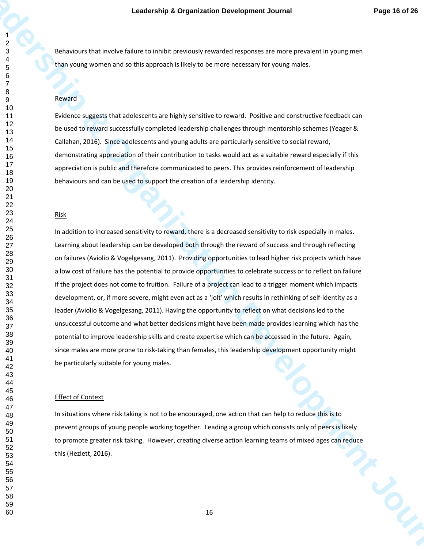Behaviours that involve failure to inhibit previously rewarded responses are more prevalent in young men than young women and so this approach is likely to be more necessary for young males.

#### Reward

Evidence suggests that adolescents are highly sensitive to reward. Positive and constructive feedback can be used to reward successfully completed leadership challenges through mentorship schemes (Yeager & Callahan, 2016). Since adolescents and young adults are particularly sensitive to social reward, demonstrating appreciation of their contribution to tasks would act as a suitable reward especially if this appreciation is public and therefore communicated to peers. This provides reinforcement of leadership behaviours and can be used to support the creation of a leadership identity.

#### Risk

**Leadership & Organization Development Journal Progress of a 25**<br>
Associated the bit of the transformation of the control of the control of the control of the control of the control of the control of the control of the con In addition to increased sensitivity to reward, there is a decreased sensitivity to risk especially in males. Learning about leadership can be developed both through the reward of success and through reflecting on failures (Aviolio & Vogelgesang, 2011). Providing opportunities to lead higher risk projects which have a low cost of failure has the potential to provide opportunities to celebrate success or to reflect on failure if the project does not come to fruition. Failure of a project can lead to a trigger moment which impacts development, or, if more severe, might even act as a 'jolt' which results in rethinking of self-identity as a leader (Aviolio & Vogelgesang, 2011). Having the opportunity to reflect on what decisions led to the unsuccessful outcome and what better decisions might have been made provides learning which has the potential to improve leadership skills and create expertise which can be accessed in the future. Again, since males are more prone to risk-taking than females, this leadership development opportunity might be particularly suitable for young males.

#### Effect of Context

In situations where risk taking is not to be encouraged, one action that can help to reduce this is to prevent groups of young people working together. Leading a group which consists only of peers is likely to promote greater risk taking. However, creating diverse action learning teams of mixed ages can reduce this (Hezlett, 2016).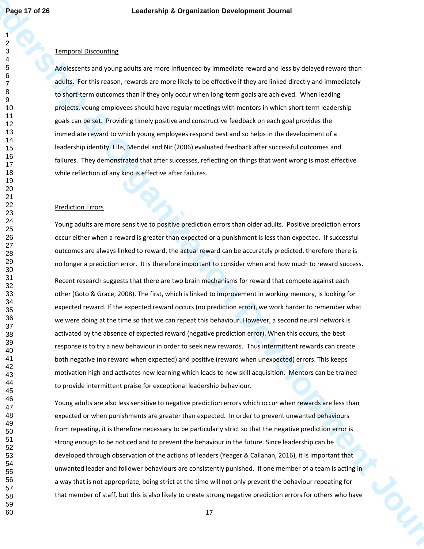#### Temporal Discounting

Adolescents and young adults are more influenced by immediate reward and less by delayed reward than adults. For this reason, rewards are more likely to be effective if they are linked directly and immediately to short-term outcomes than if they only occur when long-term goals are achieved. When leading projects, young employees should have regular meetings with mentors in which short term leadership goals can be set. Providing timely positive and constructive feedback on each goal provides the immediate reward to which young employees respond best and so helps in the development of a leadership identity. Ellis, Mendel and Nir (2006) evaluated feedback after successful outcomes and failures. They demonstrated that after successes, reflecting on things that went wrong is most effective while reflection of any kind is effective after failures.

#### Prediction Errors

**Leadership & Organization Development Journal<br>
2<br>
Comparison the course of the stationary and the comparison of the stationary council weaker of the stationary could be a<br>
definition for the stationary and contrast of the** Young adults are more sensitive to positive prediction errors than older adults. Positive prediction errors occur either when a reward is greater than expected or a punishment is less than expected. If successful outcomes are always linked to reward, the actual reward can be accurately predicted, therefore there is no longer a prediction error. It is therefore important to consider when and how much to reward success. Recent research suggests that there are two brain mechanisms for reward that compete against each other (Goto & Grace, 2008). The first, which is linked to improvement in working memory, is looking for expected reward. If the expected reward occurs (no prediction error), we work harder to remember what we were doing at the time so that we can repeat this behaviour. However, a second neural network is activated by the absence of expected reward (negative prediction error). When this occurs, the best response is to try a new behaviour in order to seek new rewards. Thus intermittent rewards can create both negative (no reward when expected) and positive (reward when unexpected) errors. This keeps motivation high and activates new learning which leads to new skill acquisition. Mentors can be trained to provide intermittent praise for exceptional leadership behaviour.

Young adults are also less sensitive to negative prediction errors which occur when rewards are less than expected or when punishments are greater than expected. In order to prevent unwanted behaviours from repeating, it is therefore necessary to be particularly strict so that the negative prediction error is strong enough to be noticed and to prevent the behaviour in the future. Since leadership can be developed through observation of the actions of leaders (Yeager & Callahan, 2016), it is important that unwanted leader and follower behaviours are consistently punished. If one member of a team is acting in a way that is not appropriate, being strict at the time will not only prevent the behaviour repeating for that member of staff, but this is also likely to create strong negative prediction errors for others who have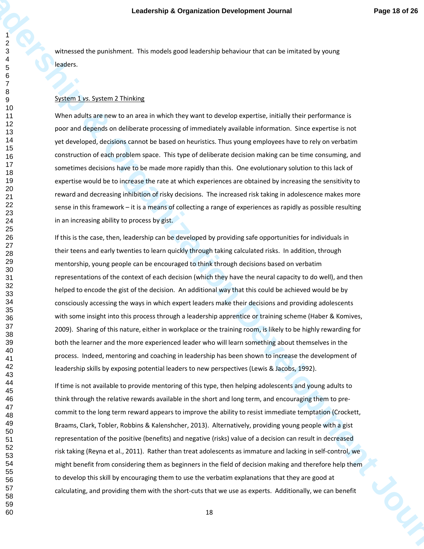witnessed the punishment. This models good leadership behaviour that can be imitated by young leaders.

#### System 1 *vs.* System 2 Thinking

When adults are new to an area in which they want to develop expertise, initially their performance is poor and depends on deliberate processing of immediately available information. Since expertise is not yet developed, decisions cannot be based on heuristics. Thus young employees have to rely on verbatim construction of each problem space. This type of deliberate decision making can be time consuming, and sometimes decisions have to be made more rapidly than this. One evolutionary solution to this lack of expertise would be to increase the rate at which experiences are obtained by increasing the sensitivity to reward and decreasing inhibition of risky decisions. The increased risk taking in adolescence makes more sense in this framework – it is a means of collecting a range of experiences as rapidly as possible resulting in an increasing ability to process by gist.

**Leadership & Organization Development Journal Progress of an alternative control of the state of the state of the state of the state of the state of the state of the state of the state of the state of the state of the sta** If this is the case, then, leadership can be developed by providing safe opportunities for individuals in their teens and early twenties to learn quickly through taking calculated risks. In addition, through mentorship, young people can be encouraged to think through decisions based on verbatim representations of the context of each decision (which they have the neural capacity to do well), and then helped to encode the gist of the decision. An additional way that this could be achieved would be by consciously accessing the ways in which expert leaders make their decisions and providing adolescents with some insight into this process through a leadership apprentice or training scheme (Haber & Komives, 2009). Sharing of this nature, either in workplace or the training room, is likely to be highly rewarding for both the learner and the more experienced leader who will learn something about themselves in the process. Indeed, mentoring and coaching in leadership has been shown to increase the development of leadership skills by exposing potential leaders to new perspectives (Lewis & Jacobs, 1992).

If time is not available to provide mentoring of this type, then helping adolescents and young adults to think through the relative rewards available in the short and long term, and encouraging them to precommit to the long term reward appears to improve the ability to resist immediate temptation (Crockett, Braams, Clark, Tobler, Robbins & Kalenshcher, 2013). Alternatively, providing young people with a gist representation of the positive (benefits) and negative (risks) value of a decision can result in decreased risk taking (Reyna et al., 2011). Rather than treat adolescents as immature and lacking in self-control, we might benefit from considering them as beginners in the field of decision making and therefore help them to develop this skill by encouraging them to use the verbatim explanations that they are good at calculating, and providing them with the short-cuts that we use as experts. Additionally, we can benefit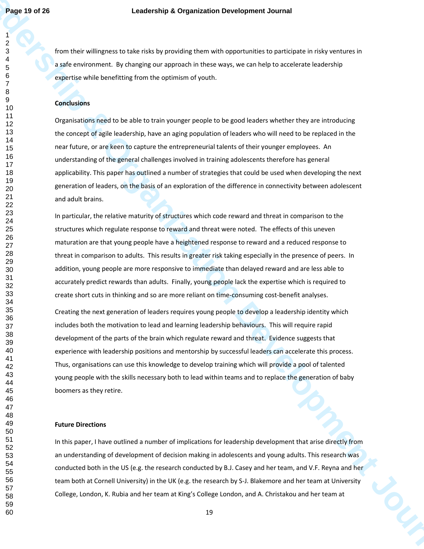from their willingness to take risks by providing them with opportunities to participate in risky ventures in a safe environment. By changing our approach in these ways, we can help to accelerate leadership expertise while benefitting from the optimism of youth.

#### **Conclusions**

**Leadership & Organization Development Journal** Organisations need to be able to train younger people to be good leaders whether they are introducing the concept of agile leadership, have an aging population of leaders who will need to be replaced in the near future, or are keen to capture the entrepreneurial talents of their younger employees. An understanding of the general challenges involved in training adolescents therefore has general applicability. This paper has outlined a number of strategies that could be used when developing the next generation of leaders, on the basis of an exploration of the difference in connectivity between adolescent and adult brains.

In particular, the relative maturity of structures which code reward and threat in comparison to the structures which regulate response to reward and threat were noted. The effects of this uneven maturation are that young people have a heightened response to reward and a reduced response to threat in comparison to adults. This results in greater risk taking especially in the presence of peers. In addition, young people are more responsive to immediate than delayed reward and are less able to accurately predict rewards than adults. Finally, young people lack the expertise which is required to create short cuts in thinking and so are more reliant on time-consuming cost-benefit analyses.

Creating the next generation of leaders requires young people to develop a leadership identity which includes both the motivation to lead and learning leadership behaviours. This will require rapid development of the parts of the brain which regulate reward and threat. Evidence suggests that experience with leadership positions and mentorship by successful leaders can accelerate this process. Thus, organisations can use this knowledge to develop training which will provide a pool of talented young people with the skills necessary both to lead within teams and to replace the generation of baby boomers as they retire.

#### **Future Directions**

In this paper, I have outlined a number of implications for leadership development that arise directly from an understanding of development of decision making in adolescents and young adults. This research was conducted both in the US (e.g. the research conducted by B.J. Casey and her team, and V.F. Reyna and her team both at Cornell University) in the UK (e.g. the research by S-J. Blakemore and her team at University College, London, K. Rubia and her team at King's College London, and A. Christakou and her team at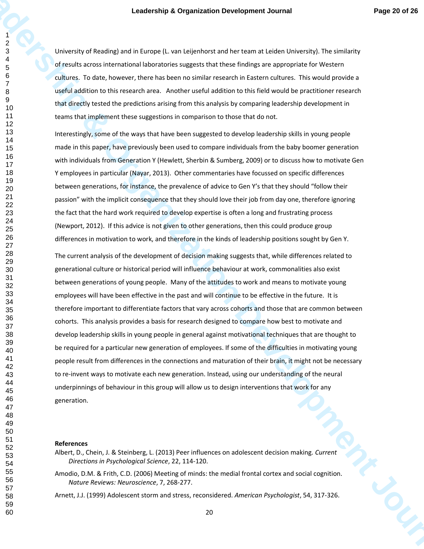University of Reading) and in Europe (L. van Leijenhorst and her team at Leiden University). The similarity of results across international laboratories suggests that these findings are appropriate for Western cultures. To date, however, there has been no similar research in Eastern cultures. This would provide a useful addition to this research area. Another useful addition to this field would be practitioner research that directly tested the predictions arising from this analysis by comparing leadership development in teams that implement these suggestions in comparison to those that do not.

Interestingly, some of the ways that have been suggested to develop leadership skills in young people made in this paper, have previously been used to compare individuals from the baby boomer generation with individuals from Generation Y (Hewlett, Sherbin & Sumberg, 2009) or to discuss how to motivate Gen Y employees in particular (Nayar, 2013). Other commentaries have focussed on specific differences between generations, for instance, the prevalence of advice to Gen Y's that they should "follow their passion" with the implicit consequence that they should love their job from day one, therefore ignoring the fact that the hard work required to develop expertise is often a long and frustrating process (Newport, 2012). If this advice is not given to other generations, then this could produce group differences in motivation to work, and therefore in the kinds of leadership positions sought by Gen Y.

**Leadership & Organization Development Journal Progression and Correspond Correspond Correspond Correspond Correspond Correspond Correspond Correspond Correspond Correspond Correspond Correspond Correspond Correspond Corre** The current analysis of the development of decision making suggests that, while differences related to generational culture or historical period will influence behaviour at work, commonalities also exist between generations of young people. Many of the attitudes to work and means to motivate young employees will have been effective in the past and will continue to be effective in the future. It is therefore important to differentiate factors that vary across cohorts and those that are common between cohorts. This analysis provides a basis for research designed to compare how best to motivate and develop leadership skills in young people in general against motivational techniques that are thought to be required for a particular new generation of employees. If some of the difficulties in motivating young people result from differences in the connections and maturation of their brain, it might not be necessary to re-invent ways to motivate each new generation. Instead, using our understanding of the neural underpinnings of behaviour in this group will allow us to design interventions that work for any generation.

#### **References**

- Albert, D., Chein, J. & Steinberg, L. (2013) Peer influences on adolescent decision making. *Current Directions in Psychological Science*, 22, 114-120.
- Amodio, D.M. & Frith, C.D. (2006) Meeting of minds: the medial frontal cortex and social cognition. *Nature Reviews: Neuroscience*, 7, 268-277.

Arnett, J.J. (1999) Adolescent storm and stress, reconsidered. *American Psychologist*, 54, 317-326.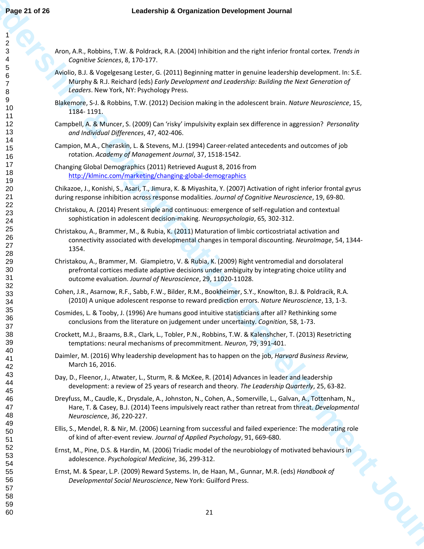- Aron, A.R., Robbins, T.W. & Poldrack, R.A. (2004) Inhibition and the right inferior frontal cortex. *Trends in Cognitive Sciences*, 8, 170-177.
- Aviolio, B.J. & Vogelgesang Lester, G. (2011) Beginning matter in genuine leadership development. In: S.E. Murphy & R.J. Reichard (eds) *Early Development and Leadership: Building the Next Generation of Leaders*. New York, NY: Psychology Press.
- Blakemore, S-J. & Robbins, T.W. (2012) Decision making in the adolescent brain. *Nature Neuroscience*, 15, 1184- 1191.
- Campbell, A. & Muncer, S. (2009) Can 'risky' impulsivity explain sex difference in aggression? *Personality and Individual Differences*, 47, 402-406.
- Campion, M.A., Cheraskin, L. & Stevens, M.J. (1994) Career-related antecedents and outcomes of job rotation. *Academy of Management Journal*, 37, 1518-1542.
- Changing Global Demographics (2011) Retrieved August 8, 2016 from http://klminc.com/marketing/changing-global-demographics

Chikazoe, J., Konishi, S., Asari, T., Jimura, K. & Miyashita, Y. (2007) Activation of right inferior frontal gyrus during response inhibition across response modalities. *Journal of Cognitive Neuroscience*, 19, 69-80.

- Christakou, A. (2014) Present simple and continuous: emergence of self-regulation and contextual sophistication in adolescent decision-making. *Neuropsychologia*, 65*,* 302-312.
- **Page 21 of 26**<br> **Leadership & Organization Development Journal Islam<br>
2.5<br>
APRIVA A. Recent, the ALE (19) increase and the first interaction Development Journal of the ALE (19)<br>
Coupled at A Conseiled at the Conseiled Sch** Christakou, A., Brammer, M., & Rubia, K. (2011) Maturation of limbic corticostriatal activation and connectivity associated with developmental changes in temporal discounting. *NeuroImage*, 54, 1344- 1354.
	- Christakou, A., Brammer, M. Giampietro, V. & Rubia, K. (2009) Right ventromedial and dorsolateral prefrontal cortices mediate adaptive decisions under ambiguity by integrating choice utility and outcome evaluation. *Journal of Neuroscience*, 29, 11020-11028.
	- Cohen, J.R., Asarnow, R.F., Sabb, F.W., Bilder, R.M., Bookheimer, S.Y., Knowlton, B.J. & Poldracik, R.A. (2010) A unique adolescent response to reward prediction errors. *Nature Neuroscience*, 13, 1-3.
	- Cosmides, L. & Tooby, J. (1996) Are humans good intuitive statisticians after all? Rethinking some conclusions from the literature on judgement under uncertainty. *Cognition*, 58, 1-73.
	- Crockett, M.J., Braams, B.R., Clark, L., Tobler, P.N., Robbins, T.W. & Kalenshcher, T. (2013) Resetricting temptations: neural mechanisms of precommitment. *Neuron*, 79, 391-401.
	- Daimler, M. (2016) Why leadership development has to happen on the job, *Harvard Business Review,*  March 16, 2016.
	- Day, D., Fleenor, J., Atwater, L., Sturm, R. & McKee, R. (2014) Advances in leader and leadership development: a review of 25 years of research and theory. *The Leadership Quarterly*, 25, 63-82.
	- Dreyfuss, M., Caudle, K., Drysdale, A., Johnston, N., Cohen, A., Somerville, L., Galvan, A., Tottenham, N., Hare, T. & Casey, B.J. (2014) Teens impulsively react rather than retreat from threat. *Developmental Neuroscienc*e, *36*, 220-227.
	- Ellis, S., Mendel, R. & Nir, M. (2006) Learning from successful and failed experience: The moderating role of kind of after-event review. *Journal of Applied Psychology*, 91, 669-680.
	- Ernst, M., Pine, D.S. & Hardin, M. (2006) Triadic model of the neurobiology of motivated behaviours in adolescence. *Psychological Medicine*, 36, 299-312.
	- Ernst, M. & Spear, L.P. (2009) Reward Systems. In, de Haan, M., Gunnar, M.R. (eds) *Handbook of Developmental Social Neuroscience*, New York: Guilford Press.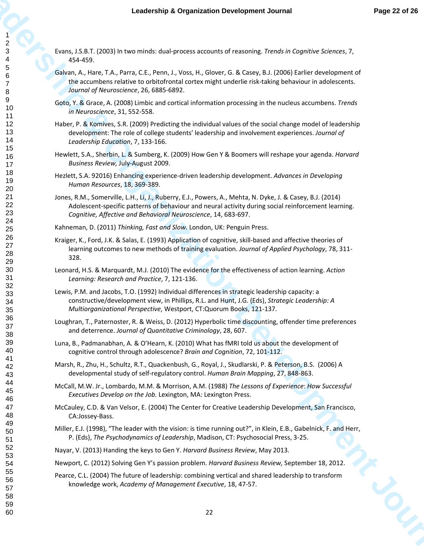- Evans, J.S.B.T. (2003) In two minds: dual-process accounts of reasoning. *Trends in Cognitive Sciences*, 7, 454-459.
- **Leadership & Organization Development Journal Progress of 26 and<br>
2.** Development Journal Care is a considerably development Journal Consider Journal Care is a consider development of the state of the state of the state Galvan, A., Hare, T.A., Parra, C.E., Penn, J., Voss, H., Glover, G. & Casey, B.J. (2006) Earlier development of the accumbens relative to orbitofrontal cortex might underlie risk-taking behaviour in adolescents. *Journal of Neuroscience*, 26, 6885-6892.
	- Goto, Y. & Grace, A. (2008) Limbic and cortical information processing in the nucleus accumbens. *Trends in Neuroscience*, 31, 552-558.
	- Haber, P. & Komives, S.R. (2009) Predicting the individual values of the social change model of leadership development: The role of college students' leadership and involvement experiences. *Journal of Leadership Education*, 7, 133-166.
	- Hewlett, S.A., Sherbin, L. & Sumberg, K. (2009) How Gen Y & Boomers will reshape your agenda. *Harvard Business Review,* July-August 2009.
	- Hezlett, S.A. 92016) Enhancing experience-driven leadership development. *Advances in Developing Human Resources*, 18, 369-389.
	- Jones, R.M., Somerville, L.H., Li, J., Ruberry, E.J., Powers, A., Mehta, N. Dyke, J. & Casey, B.J. (2014) Adolescent-specific patterns of behaviour and neural activity during social reinforcement learning. *Cognitive, Affective and Behavioral Neuroscience*, 14, 683-697.
	- Kahneman, D. (2011) *Thinking, Fast and Slow.* London, UK: Penguin Press.
	- Kraiger, K., Ford, J.K. & Salas, E. (1993) Application of cognitive, skill-based and affective theories of learning outcomes to new methods of training evaluation. *Journal of Applied Psychology*, 78, 311- 328.
	- Leonard, H.S. & Marquardt, M.J. (2010) The evidence for the effectiveness of action learning. *Action Learning: Research and Practice*, 7, 121-136.
	- Lewis, P.M. and Jacobs, T.O. (1992) Individual differences in strategic leadership capacity: a constructive/development view, in Phillips, R.L. and Hunt, J.G. (Eds), *Strategic Leadership: A Multiorganizational Perspective*, Westport, CT:Quorum Books, 121-137.
	- Loughran, T., Paternoster, R. & Weiss, D. (2012) Hyperbolic time discounting, offender time preferences and deterrence. *Journal of Quantitative Criminology*, 28, 607.
	- Luna, B., Padmanabhan, A. & O'Hearn, K. (2010) What has fMRI told us about the development of cognitive control through adolescence? *Brain and Cognition*, 72, 101-112.
	- Marsh, R., Zhu, H., Schultz, R.T., Quackenbush, G., Royal, J., Skudlarski, P. & Peterson, B.S. (2006) A developmental study of self-regulatory control. *Human Brain Mapping*, 27, 848-863.
	- McCall, M.W. Jr., Lombardo, M.M. & Morrison, A.M. (1988) *The Lessons of Experience*: *How Successful Executives Develop on the Job.* Lexington, MA: Lexington Press.
	- McCauley, C.D. & Van Velsor, E. (2004) The Center for Creative Leadership Development, San Francisco, CA:Jossey-Bass.
	- Miller, E.J. (1998), "The leader with the vision: is time running out?", in Klein, E.B., Gabelnick, F. and Herr, P. (Eds), *The Psychodynamics of Leadership*, Madison, CT: Psychosocial Press, 3-25.
	- Nayar, V. (2013) Handing the keys to Gen Y. *Harvard Business Review*, May 2013.
	- Newport, C. (2012) Solving Gen Y's passion problem. *Harvard Business Review,* September 18, 2012.
	- Pearce, C.L. (2004) The future of leadership: combining vertical and shared leadership to transform knowledge work, *Academy of Management Executive*, 18, 47-57.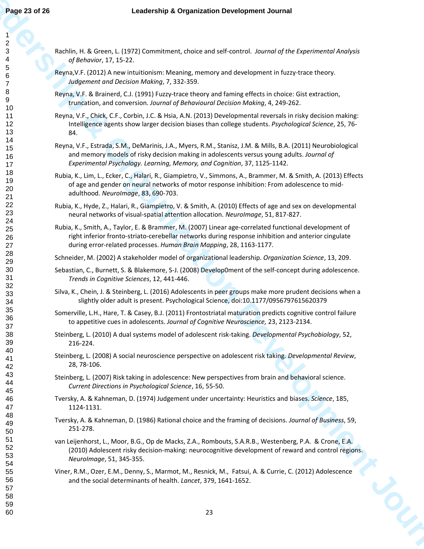- Rachlin, H. & Green, L. (1972) Commitment, choice and self-control. *Journal of the Experimental Analysis of Behavior*, 17, 15-22.
- Reyna,V.F. (2012) A new intuitionism: Meaning, memory and development in fuzzy-trace theory. *Judgement and Decision Making*, 7, 332-359.
- Reyna, V.F. & Brainerd, C.J. (1991) Fuzzy-trace theory and faming effects in choice: Gist extraction, truncation, and conversion*. Journal of Behavioural Decision Making*, 4, 249-262.
- Reyna, V.F., Chick, C.F., Corbin, J.C. & Hsia, A.N. (2013) Developmental reversals in risky decision making: Intelligence agents show larger decision biases than college students. *Psychological Science*, 25, 76- 84.
- Reyna, V.F., Estrada, S.M., DeMarinis, J.A., Myers, R.M., Stanisz, J.M. & Mills, B.A. (2011) Neurobiological and memory models of risky decision making in adolescents versus young adults. *Journal of Experimental Psychology. Learning, Memory, and Cognition*, 37, 1125-1142.
- **Page 21 of 36**<br>
Leadership & Organization Development Journal of the Department Animator (1987)<br>
2. Scribtte, H. B. Organization Concerns and the state is a state of the Development Journal of the Development Journal of t Rubia, K., Lim, L., Ecker, C., Halari, R., Giampietro, V., Simmons, A., Brammer, M. & Smith, A. (2013) Effects of age and gender on neural networks of motor response inhibition: From adolescence to midadulthood. *NeuroImage*, 83, 690-703.
	- Rubia, K., Hyde, Z., Halari, R., Giampietro, V. & Smith, A. (2010) Effects of age and sex on developmental neural networks of visual-spatial attention allocation. *NeuroImage*, 51, 817-827.
	- Rubia, K., Smith, A., Taylor, E. & Brammer, M. (2007) Linear age-correlated functional development of right inferior fronto-striato-cerebellar networks during response inhibition and anterior cingulate during error-related processes. *Human Brain Mapping*, 28, 1163-1177.
	- Schneider, M. (2002) A stakeholder model of organizational leadership. *Organization Science*, 13, 209.
	- Sebastian, C., Burnett, S. & Blakemore, S-J. (2008) Develop0ment of the self-concept during adolescence. *Trends in Cognitive Sciences*, 12, 441-446.
	- Silva, K., Chein, J. & Steinberg, L. (2016) Adolescents in peer groups make more prudent decisions when a slightly older adult is present. Psychological Science, doi:10.1177/0956797615620379
	- Somerville, L.H., Hare, T. & Casey, B.J. (2011) Frontostriatal maturation predicts cognitive control failure to appetitive cues in adolescents. *Journal of Cognitive Neuroscience,* 23, 2123-2134.
	- Steinberg, L. (2010) A dual systems model of adolescent risk-taking. *Developmental Psychobiology*, 52, 216-224.
	- Steinberg, L. (2008) A social neuroscience perspective on adolescent risk taking. *Developmental Review*, 28, 78-106.
	- Steinberg, L. (2007) Risk taking in adolescence: New perspectives from brain and behavioral science. *Current Directions in Psychological Science*, 16, 55-50.
	- Tversky, A. & Kahneman, D. (1974) Judgement under uncertainty: Heuristics and biases. *Science*, 185, 1124-1131.
	- Tversky, A. & Kahneman, D. (1986) Rational choice and the framing of decisions. *Journal of Business*, 59, 251-278.
	- van Leijenhorst, L., Moor, B.G., Op de Macks, Z.A., Rombouts, S.A.R.B., Westenberg, P.A. & Crone, E.A. (2010) Adolescent risky decision-making: neurocognitive development of reward and control regions. *NeuroImage*, 51, 345-355.
	- Viner, R.M., Ozer, E.M., Denny, S., Marmot, M., Resnick, M., Fatsui, A. & Currie, C. (2012) Adolescence and the social determinants of health. *Lancet*, 379, 1641-1652.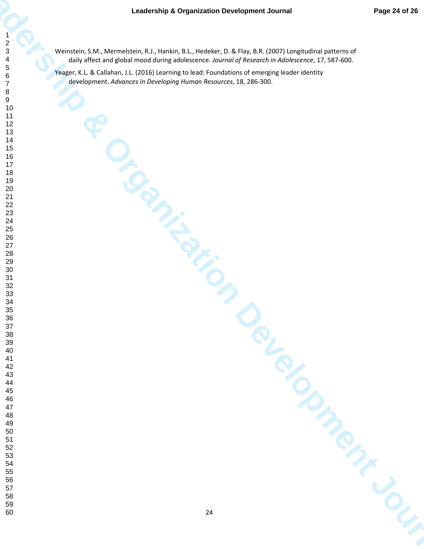Leadership & Organization Development Journal of The Construction Development Journal of The Construction Development Journal of The Construction Development Journal of The Construction Development Journal of The Construct Weinstein, S.M., Mermelstein, R.J., Hankin, B.L., Hedeker, D. & Flay, B.R. (2007) Longitudinal patterns of daily affect and global mood during adolescence. *Journal of Research in Adolescence*, 17, 587-600.

Yeager, K.L. & Callahan, J.L. (2016) Learning to lead: Foundations of emerging leader identity development. *Advances in Developing Human Resources*, 18, 286-300.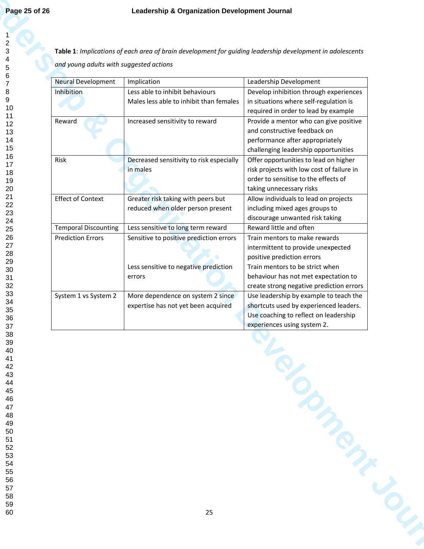| Table 1: Implications of each area of brain development for guiding leadership development in adolescents<br>and young adults with suggested actions<br><b>Neural Development</b><br>Implication<br>Leadership Development<br>Less able to inhibit behaviours<br>Develop inhibition through experiences<br>Inhibition<br>Males less able to inhibit than females<br>in situations where self-regulation is<br>required in order to lead by example<br>Increased sensitivity to reward<br>Provide a mentor who can give positive<br>Reward<br>and constructive feedback on<br>performance after appropriately<br>challenging leadership opportunities<br>Decreased sensitivity to risk especially<br>Risk<br>Offer opportunities to lead on higher<br>risk projects with low cost of failure in<br>in males<br>order to sensitise to the effects of<br>taking unnecessary risks<br><b>Effect of Context</b><br>Greater risk taking with peers but<br>Allow individuals to lead on projects<br>reduced when older person present<br>including mixed ages groups to<br>discourage unwanted risk taking<br>Less sensitive to long term reward<br>Reward little and often<br><b>Temporal Discounting</b><br><b>Prediction Errors</b><br>Sensitive to positive prediction errors<br>Train mentors to make rewards<br>intermittent to provide unexpected<br>positive prediction errors<br>Train mentors to be strict when<br>Less sensitive to negative prediction<br>behaviour has not met expectation to<br>errors<br>create strong negative prediction errors<br>System 1 vs System 2<br>More dependence on system 2 since<br>Use leadership by example to teach the<br>expertise has not yet been acquired<br>shortcuts used by experienced leaders. |  |
|---------------------------------------------------------------------------------------------------------------------------------------------------------------------------------------------------------------------------------------------------------------------------------------------------------------------------------------------------------------------------------------------------------------------------------------------------------------------------------------------------------------------------------------------------------------------------------------------------------------------------------------------------------------------------------------------------------------------------------------------------------------------------------------------------------------------------------------------------------------------------------------------------------------------------------------------------------------------------------------------------------------------------------------------------------------------------------------------------------------------------------------------------------------------------------------------------------------------------------------------------------------------------------------------------------------------------------------------------------------------------------------------------------------------------------------------------------------------------------------------------------------------------------------------------------------------------------------------------------------------------------------------------------------------------------------------------------------------------------------------------|--|
|                                                                                                                                                                                                                                                                                                                                                                                                                                                                                                                                                                                                                                                                                                                                                                                                                                                                                                                                                                                                                                                                                                                                                                                                                                                                                                                                                                                                                                                                                                                                                                                                                                                                                                                                                   |  |
|                                                                                                                                                                                                                                                                                                                                                                                                                                                                                                                                                                                                                                                                                                                                                                                                                                                                                                                                                                                                                                                                                                                                                                                                                                                                                                                                                                                                                                                                                                                                                                                                                                                                                                                                                   |  |
|                                                                                                                                                                                                                                                                                                                                                                                                                                                                                                                                                                                                                                                                                                                                                                                                                                                                                                                                                                                                                                                                                                                                                                                                                                                                                                                                                                                                                                                                                                                                                                                                                                                                                                                                                   |  |
|                                                                                                                                                                                                                                                                                                                                                                                                                                                                                                                                                                                                                                                                                                                                                                                                                                                                                                                                                                                                                                                                                                                                                                                                                                                                                                                                                                                                                                                                                                                                                                                                                                                                                                                                                   |  |
|                                                                                                                                                                                                                                                                                                                                                                                                                                                                                                                                                                                                                                                                                                                                                                                                                                                                                                                                                                                                                                                                                                                                                                                                                                                                                                                                                                                                                                                                                                                                                                                                                                                                                                                                                   |  |
|                                                                                                                                                                                                                                                                                                                                                                                                                                                                                                                                                                                                                                                                                                                                                                                                                                                                                                                                                                                                                                                                                                                                                                                                                                                                                                                                                                                                                                                                                                                                                                                                                                                                                                                                                   |  |
|                                                                                                                                                                                                                                                                                                                                                                                                                                                                                                                                                                                                                                                                                                                                                                                                                                                                                                                                                                                                                                                                                                                                                                                                                                                                                                                                                                                                                                                                                                                                                                                                                                                                                                                                                   |  |
|                                                                                                                                                                                                                                                                                                                                                                                                                                                                                                                                                                                                                                                                                                                                                                                                                                                                                                                                                                                                                                                                                                                                                                                                                                                                                                                                                                                                                                                                                                                                                                                                                                                                                                                                                   |  |
|                                                                                                                                                                                                                                                                                                                                                                                                                                                                                                                                                                                                                                                                                                                                                                                                                                                                                                                                                                                                                                                                                                                                                                                                                                                                                                                                                                                                                                                                                                                                                                                                                                                                                                                                                   |  |
|                                                                                                                                                                                                                                                                                                                                                                                                                                                                                                                                                                                                                                                                                                                                                                                                                                                                                                                                                                                                                                                                                                                                                                                                                                                                                                                                                                                                                                                                                                                                                                                                                                                                                                                                                   |  |
|                                                                                                                                                                                                                                                                                                                                                                                                                                                                                                                                                                                                                                                                                                                                                                                                                                                                                                                                                                                                                                                                                                                                                                                                                                                                                                                                                                                                                                                                                                                                                                                                                                                                                                                                                   |  |
|                                                                                                                                                                                                                                                                                                                                                                                                                                                                                                                                                                                                                                                                                                                                                                                                                                                                                                                                                                                                                                                                                                                                                                                                                                                                                                                                                                                                                                                                                                                                                                                                                                                                                                                                                   |  |
| Use coaching to reflect on leadership                                                                                                                                                                                                                                                                                                                                                                                                                                                                                                                                                                                                                                                                                                                                                                                                                                                                                                                                                                                                                                                                                                                                                                                                                                                                                                                                                                                                                                                                                                                                                                                                                                                                                                             |  |
| experiences using system 2.                                                                                                                                                                                                                                                                                                                                                                                                                                                                                                                                                                                                                                                                                                                                                                                                                                                                                                                                                                                                                                                                                                                                                                                                                                                                                                                                                                                                                                                                                                                                                                                                                                                                                                                       |  |
|                                                                                                                                                                                                                                                                                                                                                                                                                                                                                                                                                                                                                                                                                                                                                                                                                                                                                                                                                                                                                                                                                                                                                                                                                                                                                                                                                                                                                                                                                                                                                                                                                                                                                                                                                   |  |
|                                                                                                                                                                                                                                                                                                                                                                                                                                                                                                                                                                                                                                                                                                                                                                                                                                                                                                                                                                                                                                                                                                                                                                                                                                                                                                                                                                                                                                                                                                                                                                                                                                                                                                                                                   |  |
|                                                                                                                                                                                                                                                                                                                                                                                                                                                                                                                                                                                                                                                                                                                                                                                                                                                                                                                                                                                                                                                                                                                                                                                                                                                                                                                                                                                                                                                                                                                                                                                                                                                                                                                                                   |  |
|                                                                                                                                                                                                                                                                                                                                                                                                                                                                                                                                                                                                                                                                                                                                                                                                                                                                                                                                                                                                                                                                                                                                                                                                                                                                                                                                                                                                                                                                                                                                                                                                                                                                                                                                                   |  |
| <b>DIPARATE</b>                                                                                                                                                                                                                                                                                                                                                                                                                                                                                                                                                                                                                                                                                                                                                                                                                                                                                                                                                                                                                                                                                                                                                                                                                                                                                                                                                                                                                                                                                                                                                                                                                                                                                                                                   |  |
|                                                                                                                                                                                                                                                                                                                                                                                                                                                                                                                                                                                                                                                                                                                                                                                                                                                                                                                                                                                                                                                                                                                                                                                                                                                                                                                                                                                                                                                                                                                                                                                                                                                                                                                                                   |  |
| 25                                                                                                                                                                                                                                                                                                                                                                                                                                                                                                                                                                                                                                                                                                                                                                                                                                                                                                                                                                                                                                                                                                                                                                                                                                                                                                                                                                                                                                                                                                                                                                                                                                                                                                                                                |  |

7 8 9 10 11 12 13 14 15 16 17 18 19 20 21 22 23 24 25 26 27 28 29 30 31 32 33 34 35 36 37 38 39 40 41 42 43 44 45 46 47 48 49 50 51 52 53 54 55 56 57 58 59